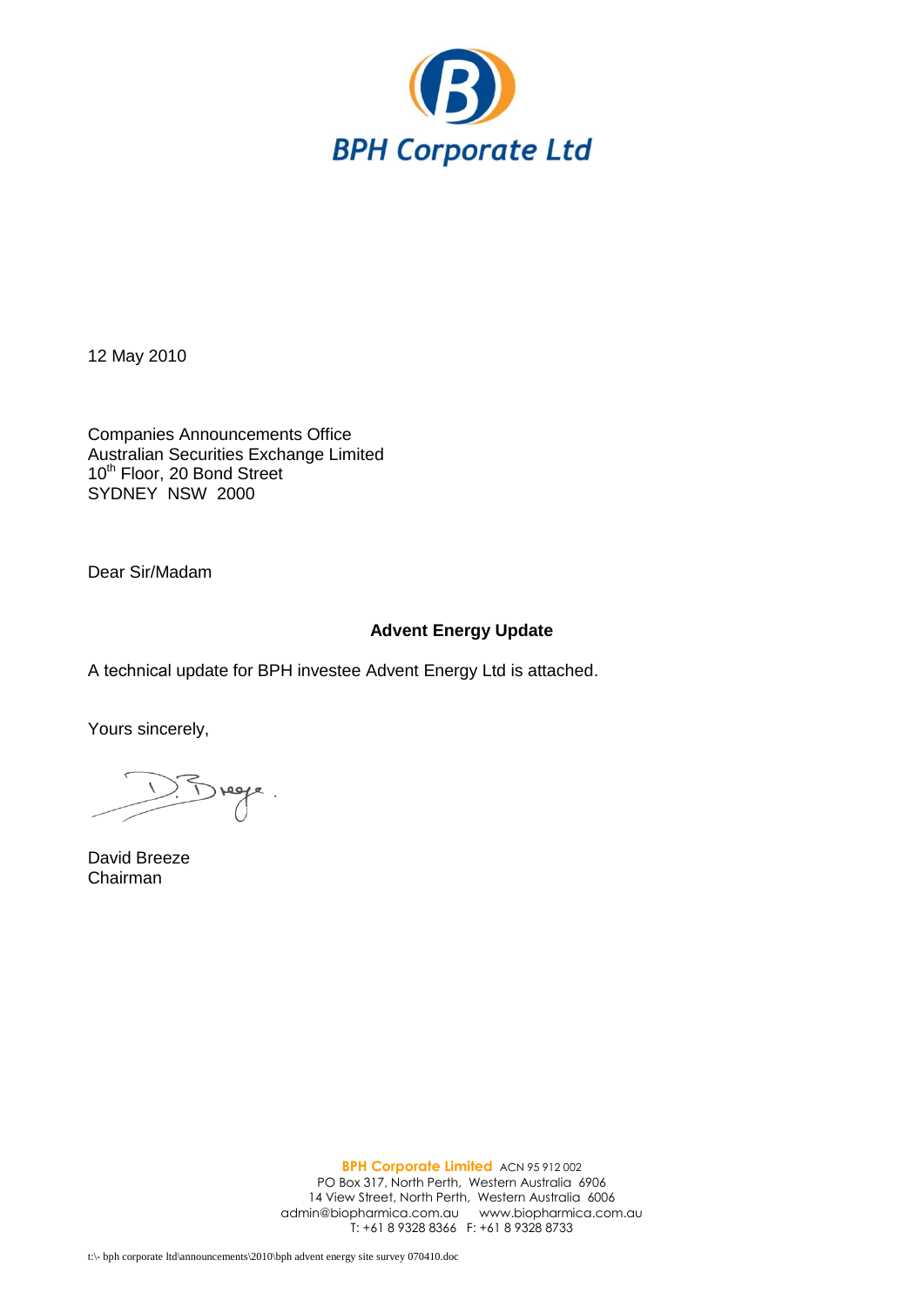

12 May 2010

Companies Announcements Office Australian Securities Exchange Limited 10<sup>th</sup> Floor, 20 Bond Street SYDNEY NSW 2000

Dear Sir/Madam

## **Advent Energy Update**

A technical update for BPH investee Advent Energy Ltd is attached.

Yours sincerely,

 $5$  regge.

David Breeze Chairman

**BPH Corporate Limited** ACN 95 912 002 PO Box 317, North Perth, Western Australia 6906 14 View Street, North Perth, Western Australia 6006 admin@biopharmica.com.au www.biopharmica.com.au T: +61 8 9328 8366 F: +61 8 9328 8733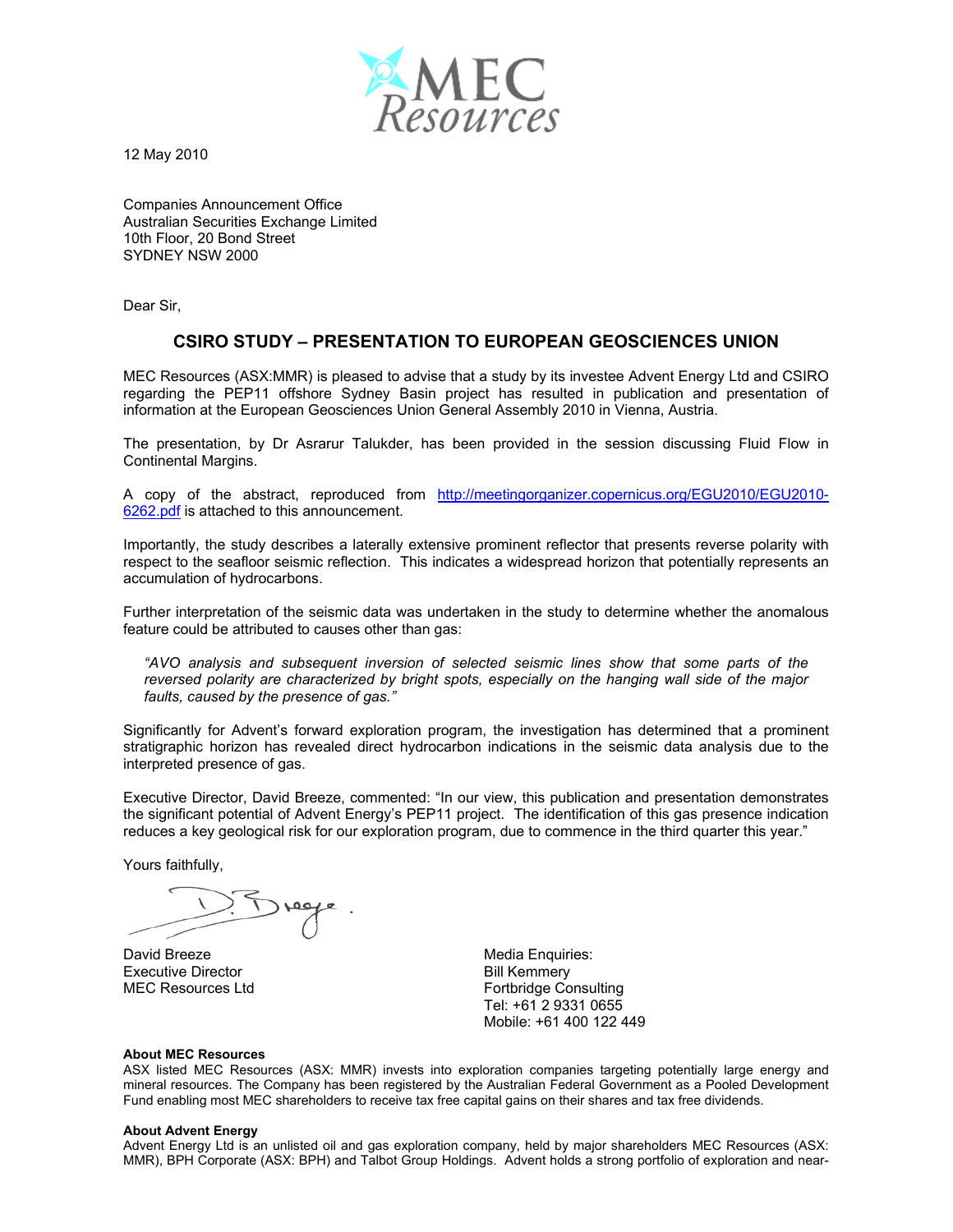

12 May 2010

Companies Announcement Office Australian Securities Exchange Limited 10th Floor, 20 Bond Street SYDNEY NSW 2000

Dear Sir,

### **CSIRO STUDY – PRESENTATION TO EUROPEAN GEOSCIENCES UNION**

MEC Resources (ASX:MMR) is pleased to advise that a study by its investee Advent Energy Ltd and CSIRO regarding the PEP11 offshore Sydney Basin project has resulted in publication and presentation of information at the European Geosciences Union General Assembly 2010 in Vienna, Austria.

The presentation, by Dr Asrarur Talukder, has been provided in the session discussing Fluid Flow in Continental Margins.

A copy of the abstract, reproduced from http://meetingorganizer.copernicus.org/EGU2010/EGU2010-6262.pdf is attached to this announcement.

Importantly, the study describes a laterally extensive prominent reflector that presents reverse polarity with respect to the seafloor seismic reflection. This indicates a widespread horizon that potentially represents an accumulation of hydrocarbons.

Further interpretation of the seismic data was undertaken in the study to determine whether the anomalous feature could be attributed to causes other than gas:

*"AVO analysis and subsequent inversion of selected seismic lines show that some parts of the reversed polarity are characterized by bright spots, especially on the hanging wall side of the major faults, caused by the presence of gas."* 

Significantly for Advent's forward exploration program, the investigation has determined that a prominent stratigraphic horizon has revealed direct hydrocarbon indications in the seismic data analysis due to the interpreted presence of gas.

Executive Director, David Breeze, commented: "In our view, this publication and presentation demonstrates the significant potential of Advent Energy's PEP11 project. The identification of this gas presence indication reduces a key geological risk for our exploration program, due to commence in the third quarter this year."

Yours faithfully,

David Breeze Executive Director MEC Resources Ltd

Media Enquiries: Bill Kemmery Fortbridge Consulting Tel: +61 2 9331 0655 Mobile: +61 400 122 449

#### **About MEC Resources**

ASX listed MEC Resources (ASX: MMR) invests into exploration companies targeting potentially large energy and mineral resources. The Company has been registered by the Australian Federal Government as a Pooled Development Fund enabling most MEC shareholders to receive tax free capital gains on their shares and tax free dividends.

#### **About Advent Energy**

Advent Energy Ltd is an unlisted oil and gas exploration company, held by major shareholders MEC Resources (ASX: MMR), BPH Corporate (ASX: BPH) and Talbot Group Holdings. Advent holds a strong portfolio of exploration and near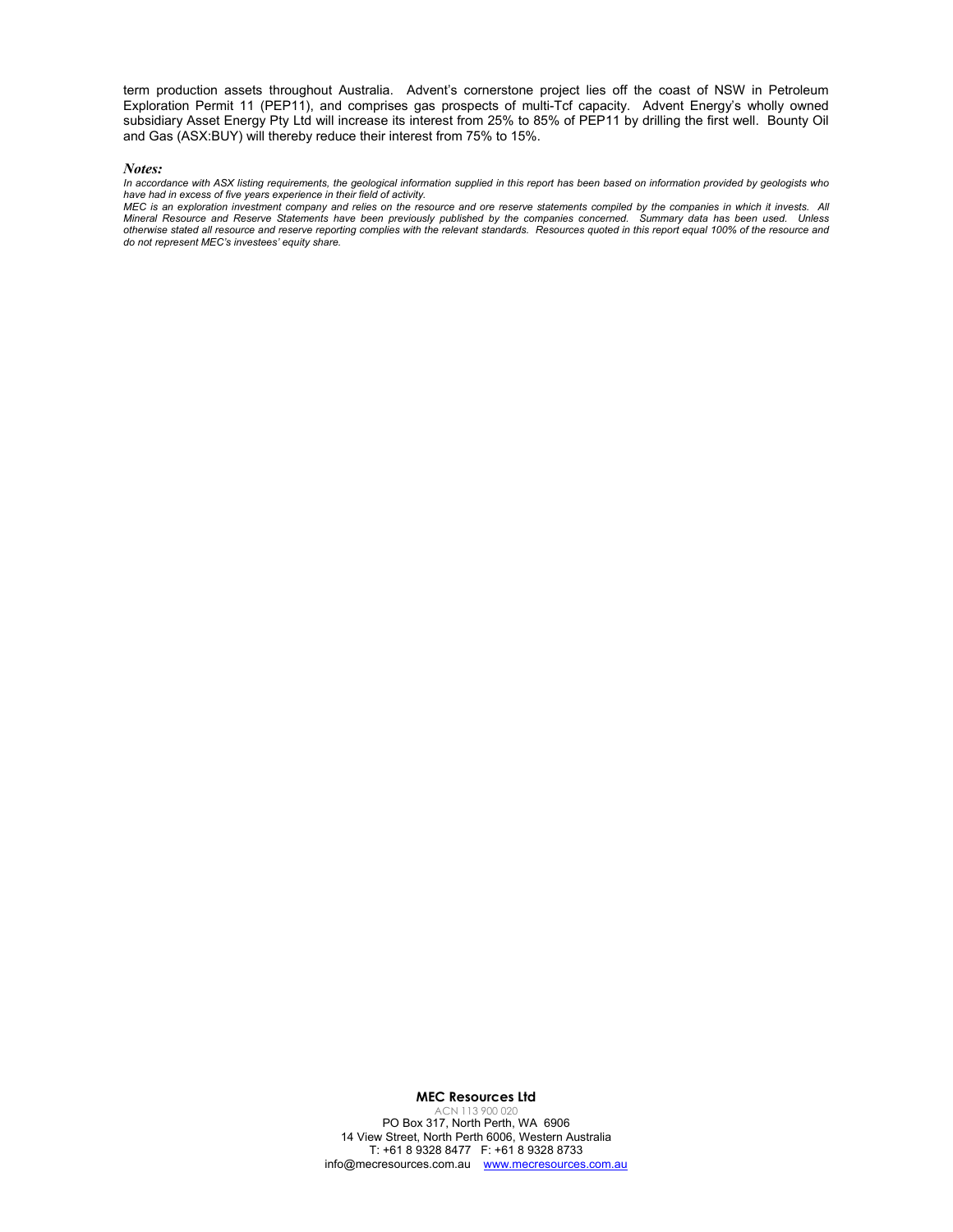term production assets throughout Australia. Advent's cornerstone project lies off the coast of NSW in Petroleum Exploration Permit 11 (PEP11), and comprises gas prospects of multi-Tcf capacity. Advent Energy's wholly owned subsidiary Asset Energy Pty Ltd will increase its interest from 25% to 85% of PEP11 by drilling the first well. Bounty Oil and Gas (ASX:BUY) will thereby reduce their interest from 75% to 15%.

#### *Notes:*

*In accordance with ASX listing requirements, the geological information supplied in this report has been based on information provided by geologists who* 

have had in excess of five years experience in their field of activity.<br>MEC is an exploration investment company and relies on the resource and ore reserve statements compiled by the companies in which it invests. All<br>Min *do not represent MEC's investees' equity share.* 

**MEC Resources Ltd**

ACN 113 900 020 PO Box 317, North Perth, WA 6906 14 View Street, North Perth 6006, Western Australia T: +61 8 9328 8477 F: +61 8 9328 8733 info@mecresources.com.au www.mecresources.com.au